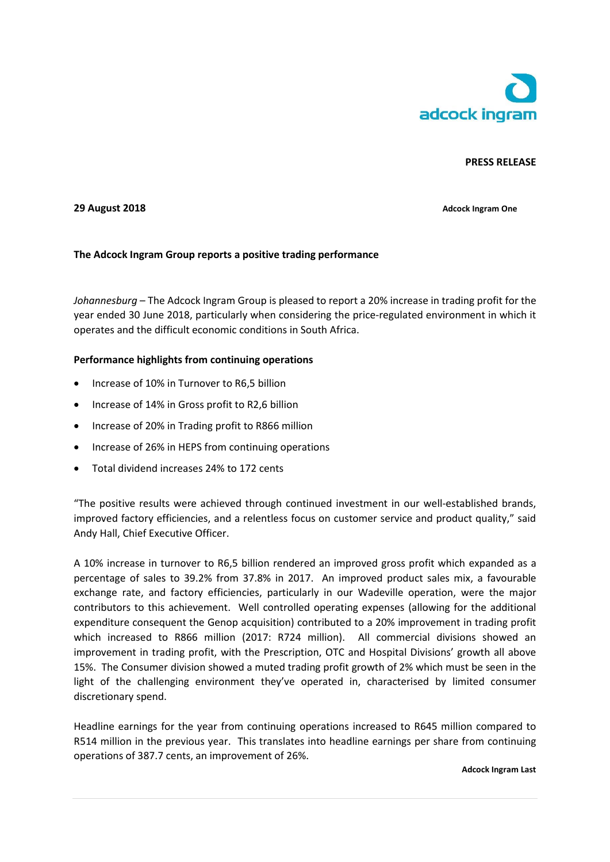

# **PRESS RELEASE**

## **29 August 2018 Adcock Ingram One**

# **The Adcock Ingram Group reports a positive trading performance**

*Johannesburg* – The Adcock Ingram Group is pleased to report a 20% increase in trading profit for the year ended 30 June 2018, particularly when considering the price-regulated environment in which it operates and the difficult economic conditions in South Africa.

#### **Performance highlights from continuing operations**

- Increase of 10% in Turnover to R6,5 billion
- Increase of 14% in Gross profit to R2,6 billion
- Increase of 20% in Trading profit to R866 million
- Increase of 26% in HEPS from continuing operations
- Total dividend increases 24% to 172 cents

"The positive results were achieved through continued investment in our well-established brands, improved factory efficiencies, and a relentless focus on customer service and product quality," said Andy Hall, Chief Executive Officer.

A 10% increase in turnover to R6,5 billion rendered an improved gross profit which expanded as a percentage of sales to 39.2% from 37.8% in 2017.An improved product sales mix, a favourable exchange rate, and factory efficiencies, particularly in our Wadeville operation, were the major contributors to this achievement. Well controlled operating expenses (allowing for the additional expenditure consequent the Genop acquisition) contributed to a 20% improvement in trading profit which increased to R866 million (2017: R724 million). All commercial divisions showed an improvement in trading profit, with the Prescription, OTC and Hospital Divisions' growth all above 15%. The Consumer division showed a muted trading profit growth of 2% which must be seen in the light of the challenging environment they've operated in, characterised by limited consumer discretionary spend.

Headline earnings for the year from continuing operations increased to R645 million compared to R514 million in the previous year. This translates into headline earnings per share from continuing operations of 387.7 cents, an improvement of 26%.

**Adcock Ingram Last**